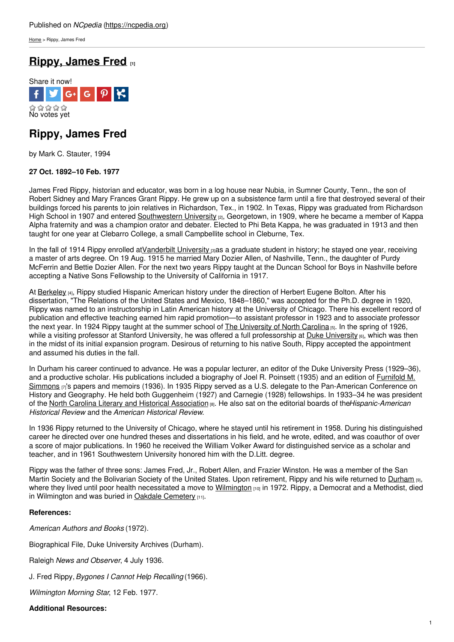[Home](https://ncpedia.org/) > Rippy, James Fred

# **Rippy, [James](https://ncpedia.org/biography/rippy-james-fred) Fred [1]**



# **Rippy, James Fred**

by Mark C. Stauter, 1994

## **27 Oct. 1892–10 Feb. 1977**

James Fred Rippy, historian and educator, was born in a log house near Nubia, in Sumner County, Tenn., the son of Robert Sidney and Mary Frances Grant Rippy. He grew up on a subsistence farm until a fire that destroyed several of their buildings forced his parents to join relatives in [Richardson](http://www.social9.com), Tex., in 1902. In Texas, Rippy was graduated from Richardson High School in 1907 and entered [Southwestern](http://www.southwestern.edu/) University <sub>[2]</sub>, Georgetown, in 1909, where he became a member of Kappa Alpha fraternity and was a champion orator and debater. Elected to Phi Beta Kappa, he was graduated in 1913 and then taught for one year at Clebarro College, a small Campbellite school in Cleburne, Tex.

In the fall of 1914 Rippy enrolled at Vanderbilt University  $\sin$  as a graduate student in history; he stayed one year, receiving a master of arts degree. On 19 Aug. 1915 he married Mary Dozier Allen, of Nashville, Tenn., the daughter of Purdy McFerrin and Bettie Dozier Allen. For the next two years Rippy taught at the Duncan School for Boys in Nashville before accepting a Native Sons Fellowship to the University of California in 1917.

At [Berkeley](http://www.berkeley.edu/index.html) [4], Rippy studied Hispanic American history under the direction of Herbert Eugene Bolton. After his dissertation, "The Relations of the United States and Mexico, 1848–1860," was accepted for the Ph.D. degree in 1920, Rippy was named to an instructorship in Latin American history at the University of Chicago. There his excellent record of publication and effective teaching earned him rapid promotion—to assistant professor in 1923 and to associate professor the next year. In 1924 Rippy taught at the summer school of The [University](https://ncpedia.org/university-north-carolina-chapel-hi) of North Carolina [5]. In the spring of 1926, while a visiting professor at Stanford [University](https://ncpedia.org/duke-university), he was offered a full professorship at Duke University [6], which was then in the midst of its initial expansion program. Desirous of returning to his native South, Rippy accepted the appointment and assumed his duties in the fall.

In Durham his career continued to advance. He was a popular lecturer, an editor of the Duke University Press (1929–36), and a productive scholar. His publications included a biography of Joel R. Poinsett (1935) and an edition of Furnifold M. Simmons [7]'s papers and memoirs (1936). In 1935 Rippy served as a U.S. delegate to the [Pan-American](https://ncpedia.org/biography/simmons-furnifold) Conference on History and Geography. He held both Guggenheim (1927) and Carnegie (1928) fellowships. In 1933–34 he was president of the North Carolina Literary and Historical [Association](https://ncpedia.org/literary-and-historical-association) [8]. He also sat on the editorial boards of the*Hispanic-American Historical Review* and the *American Historical Review*.

In 1936 Rippy returned to the University of Chicago, where he stayed until his retirement in 1958. During his distinguished career he directed over one hundred theses and dissertations in his field, and he wrote, edited, and was coauthor of over a score of major publications. In 1960 he received the William Volker Award for distinguished service as a scholar and teacher, and in 1961 Southwestern University honored him with the D.Litt. degree.

Rippy was the father of three sons: James Fred, Jr., Robert Allen, and Frazier Winston. He was a member of the San Martin Society and the Bolivarian Society of the United States. Upon retirement, Rippy and his wife returned to [Durham](https://ncpedia.org/geography/durham-city) [9], where they lived until poor health necessitated a move to [Wilmington](https://ncpedia.org/geography/wilmington) [10] in 1972. Rippy, a Democrat and a Methodist, died in Wilmington and was buried in Oakdale [Cemetery](https://ncpedia.org/oakdale-cemetery) [11].

### **References:**

*American Authors and Books* (1972).

Biographical File, Duke University Archives (Durham).

Raleigh *News and Observer*, 4 July 1936.

J. Fred Rippy,*Bygones I Cannot Help Recalling* (1966).

*Wilmington Morning Star*, 12 Feb. 1977.

### **Additional Resources:**